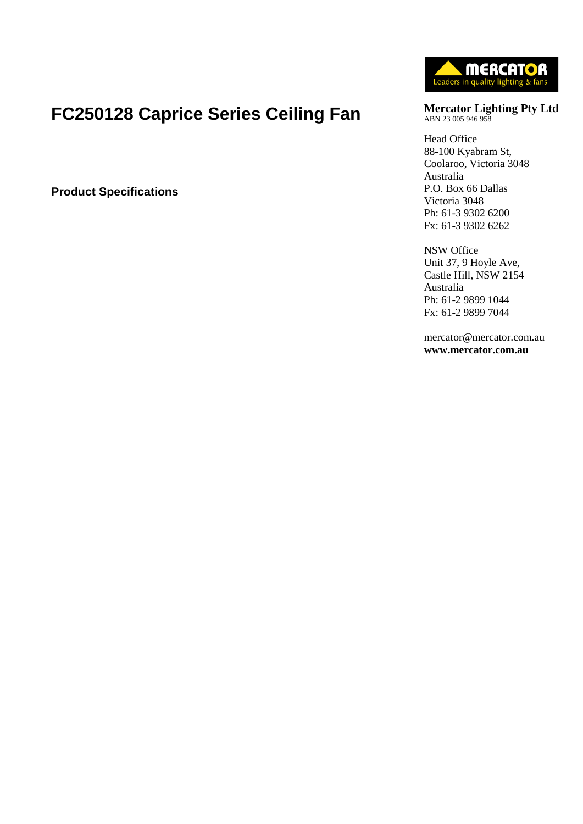# **FC250128 Caprice Series Ceiling Fan**

**Product Specifications**



**Mercator Lighting Pty Ltd** ABN 23 005 946 958

Head Office 88-100 Kyabram St, Coolaroo, Victoria 3048 Australia P.O. Box 66 Dallas Victoria 3048 Ph: 61-3 9302 6200 Fx: 61-3 9302 6262

NSW Office Unit 37, 9 Hoyle Ave, Castle Hill, NSW 2154 Australia Ph: 61-2 9899 1044 Fx: 61-2 9899 7044

mercator@mercator.com.au **www.mercator.com.au**